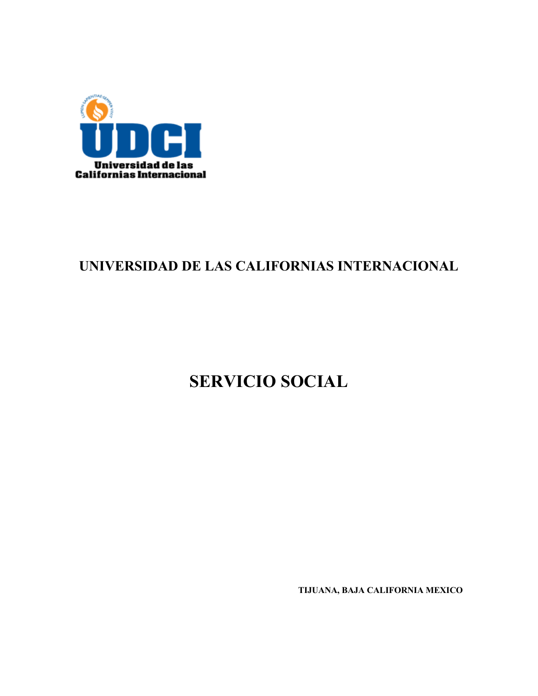

## UNIVERSIDAD DE LAS CALIFORNIAS INTERNACIONAL

# **SERVICIO SOCIAL**

TIJUANA, BAJA CALIFORNIA MEXICO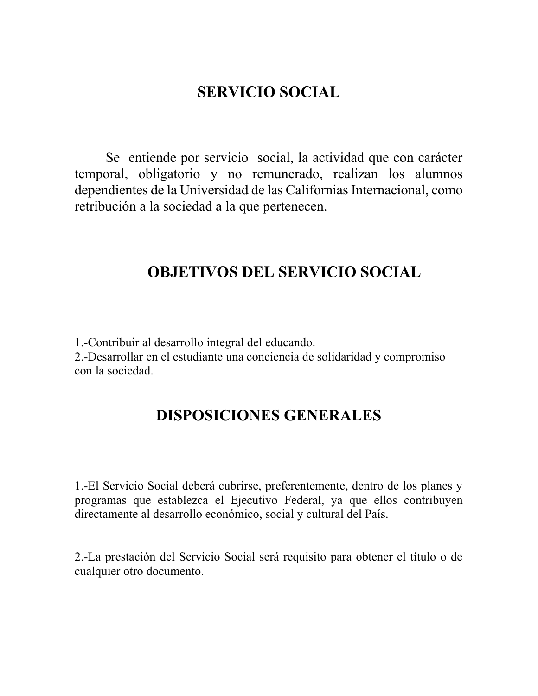## **SERVICIO SOCIAL**

Se entiende por servicio social, la actividad que con carácter temporal, obligatorio y no remunerado, realizan los alumnos dependientes de la Universidad de las Californias Internacional, como retribución a la sociedad a la que pertenecen.

## **OBJETIVOS DEL SERVICIO SOCIAL**

1.-Contribuir al desarrollo integral del educando.

2.-Desarrollar en el estudiante una conciencia de solidaridad y compromiso con la sociedad.

## **DISPOSICIONES GENERALES**

1.-El Servicio Social deberá cubrirse, preferentemente, dentro de los planes y programas que establezca el Ejecutivo Federal, ya que ellos contribuyen directamente al desarrollo económico, social y cultural del País.

2.-La prestación del Servicio Social será requisito para obtener el título o de cualquier otro documento.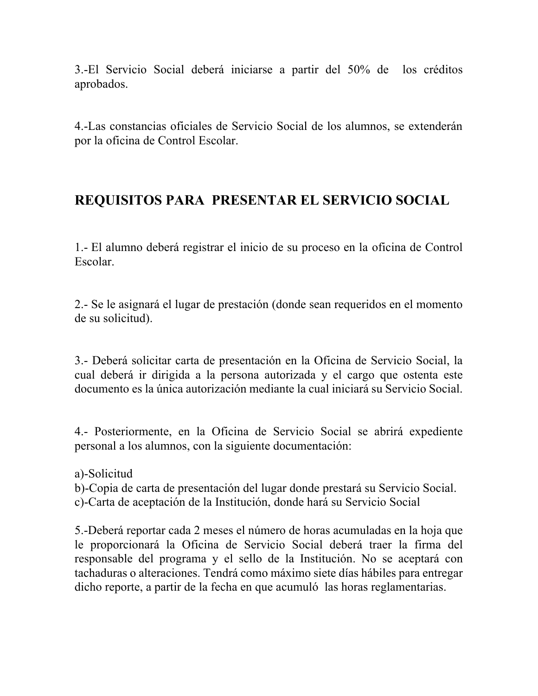3.-El Servicio Social deberá iniciarse a partir del 50% de los créditos aprobados.

4.-Las constancias oficiales de Servicio Social de los alumnos, se extenderán por la oficina de Control Escolar.

## REQUISITOS PARA PRESENTAR EL SERVICIO SOCIAL

1.- El alumno deberá registrar el inicio de su proceso en la oficina de Control Escolar.

2.- Se le asignará el lugar de prestación (donde sean requeridos en el momento de su solicitud).

3.- Deberá solicitar carta de presentación en la Oficina de Servicio Social, la cual deberá ir dirigida a la persona autorizada y el cargo que ostenta este documento es la única autorización mediante la cual iniciará su Servicio Social.

4.- Posteriormente, en la Oficina de Servicio Social se abrirá expediente personal a los alumnos, con la siguiente documentación:

a)-Solicitud

b)-Copia de carta de presentación del lugar donde prestará su Servicio Social. c)-Carta de aceptación de la Institución, donde hará su Servicio Social

5.-Deberá reportar cada 2 meses el número de horas acumuladas en la hoja que le proporcionará la Oficina de Servicio Social deberá traer la firma del responsable del programa y el sello de la Institución. No se aceptará con tachaduras o alteraciones. Tendrá como máximo siete días hábiles para entregar dicho reporte, a partir de la fecha en que acumuló las horas reglamentarias.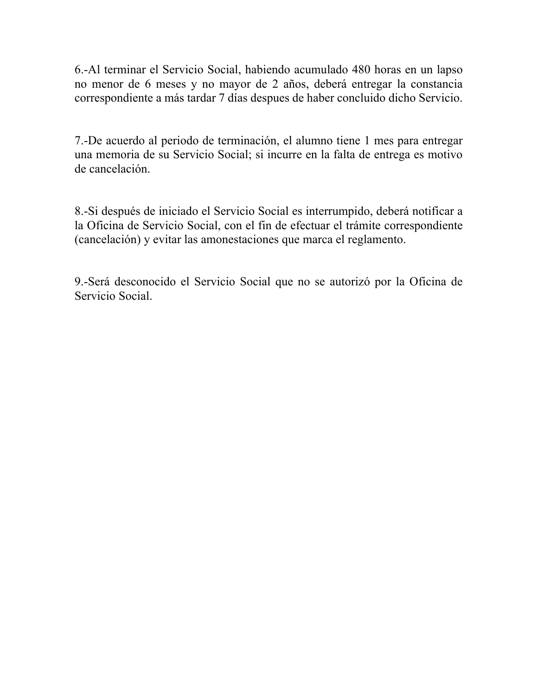6.-Al terminar el Servicio Social, habiendo acumulado 480 horas en un lapso no menor de 6 meses y no mayor de 2 años, deberá entregar la constancia correspondiente a más tardar 7 días despues de haber concluido dicho Servicio.

7.-De acuerdo al periodo de terminación, el alumno tiene 1 mes para entregar una memoria de su Servicio Social; si incurre en la falta de entrega es motivo de cancelación.

8.-Si después de iniciado el Servicio Social es interrumpido, deberá notificar a la Oficina de Servicio Social, con el fin de efectuar el trámite correspondiente (cancelación) y evitar las amonestaciones que marca el reglamento.

9.-Será desconocido el Servicio Social que no se autorizó por la Oficina de Servicio Social.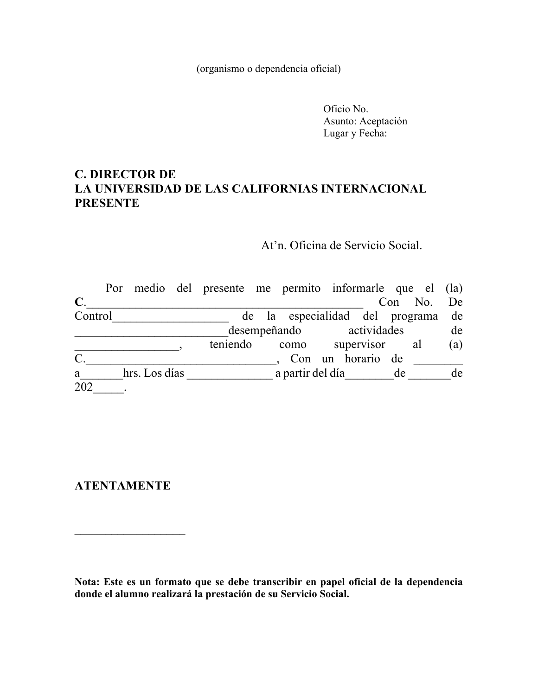(organismo o dependencia oficial)

Oficio No. Asunto: Aceptación Lugar y Fecha:

### **C. DIRECTOR DE** LA UNIVERSIDAD DE LAS CALIFORNIAS INTERNACIONAL **PRESENTE**

At'n. Oficina de Servicio Social.

|                 |               | Por medio del presente me permito informarle que el (la) |                  |                                    |    |            |     |
|-----------------|---------------|----------------------------------------------------------|------------------|------------------------------------|----|------------|-----|
| $\mathbf C$ .   |               |                                                          |                  |                                    |    | Con No. De |     |
| Control         |               |                                                          |                  | de la especialidad del programa de |    |            |     |
|                 |               |                                                          |                  | desempeñando actividades           |    |            | de  |
|                 |               | teniendo                                                 | como             | supervisor al                      |    |            | (a) |
| $\mathcal{C}$ . |               |                                                          |                  | , Con un horario de                |    |            |     |
| a               | hrs. Los días |                                                          | a partir del día |                                    | de |            | de  |
| 202             |               |                                                          |                  |                                    |    |            |     |

### **ATENTAMENTE**

<u> 1980 - Andrea Amerikaanse kommunister (</u>

Nota: Este es un formato que se debe transcribir en papel oficial de la dependencia donde el alumno realizará la prestación de su Servicio Social.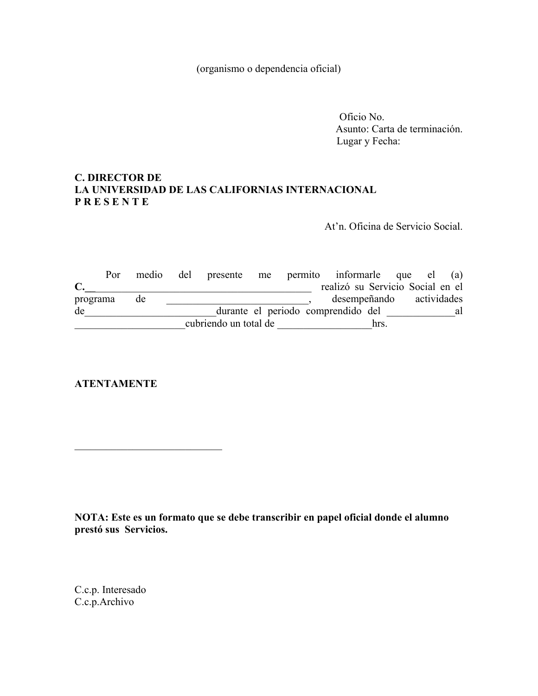(organismo o dependencia oficial)

Oficio No. Asunto: Carta de terminación. Lugar y Fecha:

#### **C. DIRECTOR DE** LA UNIVERSIDAD DE LAS CALIFORNIAS INTERNACIONAL **PRESENTE**

At'n. Oficina de Servicio Social.

Por medio del presente me permito informarle que el (a)  $C.$ realizó su Servicio Social en el desempeñando actividades programa de  $\overline{\phantom{a}}$ durante el periodo comprendido del al al de cubriendo un total de la contraria hrs.

**ATENTAMENTE** 

NOTA: Este es un formato que se debe transcribir en papel oficial donde el alumno prestó sus Servicios.

C.c.p. Interesado C.c.p.Archivo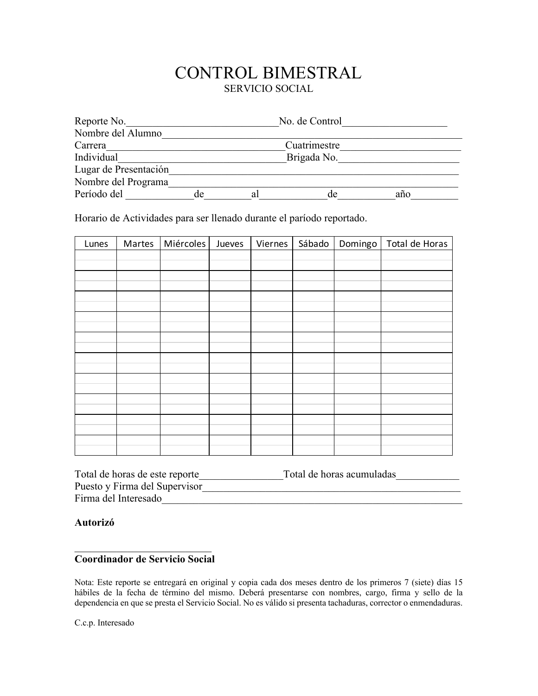### CONTROL BIMESTRAL SERVICIO SOCIAL

| Reporte No.           | No. de Control |    |              |     |  |  |
|-----------------------|----------------|----|--------------|-----|--|--|
| Nombre del Alumno     |                |    |              |     |  |  |
| Carrera               |                |    | Cuatrimestre |     |  |  |
| Individual            |                |    | Brigada No.  |     |  |  |
| Lugar de Presentación |                |    |              |     |  |  |
| Nombre del Programa   |                |    |              |     |  |  |
| Período del           | de             | al | de           | año |  |  |

Horario de Actividades para ser llenado durante el paríodo reportado.

| Lunes | Martes | Miércoles | Jueves | Viernes | Sábado | Domingo | Total de Horas |
|-------|--------|-----------|--------|---------|--------|---------|----------------|
|       |        |           |        |         |        |         |                |
|       |        |           |        |         |        |         |                |
|       |        |           |        |         |        |         |                |
|       |        |           |        |         |        |         |                |
|       |        |           |        |         |        |         |                |
|       |        |           |        |         |        |         |                |
|       |        |           |        |         |        |         |                |
|       |        |           |        |         |        |         |                |
|       |        |           |        |         |        |         |                |
|       |        |           |        |         |        |         |                |
|       |        |           |        |         |        |         |                |
|       |        |           |        |         |        |         |                |
|       |        |           |        |         |        |         |                |
|       |        |           |        |         |        |         |                |
|       |        |           |        |         |        |         |                |
|       |        |           |        |         |        |         |                |
|       |        |           |        |         |        |         |                |
|       |        |           |        |         |        |         |                |

| Total de horas de este reporte | Total de horas acumuladas |
|--------------------------------|---------------------------|
| Puesto y Firma del Supervisor  |                           |
| Firma del Interesado           |                           |

Autorizó

#### DDDDDDDDDDDDDDDDDDDDDDDDDD **Coordinador de Servicio Social**

Nota: Este reporte se entregará en original y copia cada dos meses dentro de los primeros 7 (siete) días 15 hábiles de la fecha de término del mismo. Deberá presentarse con nombres, cargo, firma y sello de la dependencia en que se presta el Servicio Social. No es válido si presenta tachaduras, corrector o enmendaduras.

C.c.p. Interesado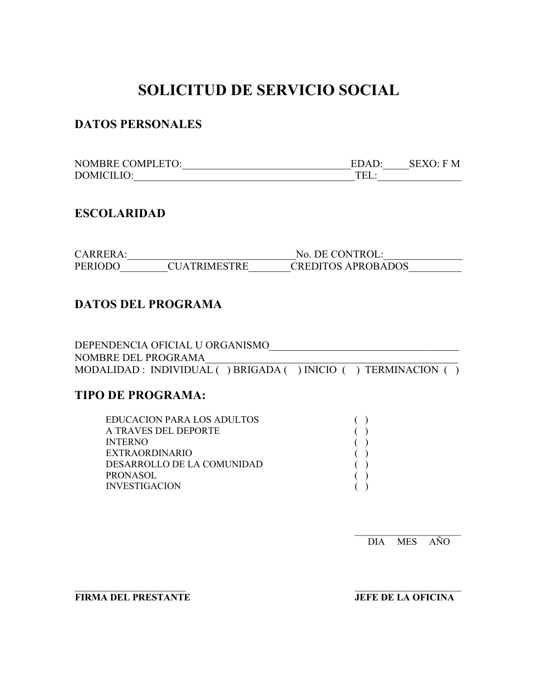# **SOLICITUD DE SERVICIO SOCIAL**

### **DATOS PERSONALES**

| <b>NOMBRE COMPLETO:</b> | EDAD: | SEXO: F M |
|-------------------------|-------|-----------|
| DOMICILIO:              |       |           |

#### $ESCOLARIDAD$

| CARRERA: |                     | No. DE CONTROL:    |
|----------|---------------------|--------------------|
| PERIODO  | <b>CUATRIMESTRE</b> | CREDITOS APROBADOS |

### **DATOS DEL PROGRAMA**

| DEPENDENCIA OFICIAL U ORGANISMO                               |  |
|---------------------------------------------------------------|--|
| NOMBRE DEL PROGRAMA                                           |  |
| MODALIDAD : INDIVIDUAL () BRIGADA () INICIO () TERMINACION () |  |

55555555555555555555555 )))))))))))))5555555555555555555555

### **TIPO DE PROGRAMA:**

| EDUCACION PARA LOS ADULTOS |  |  |
|----------------------------|--|--|
| A TRAVES DEL DEPORTE       |  |  |
| <b>INTERNO</b>             |  |  |
| EXTRAORDINARIO             |  |  |
| DESARROLLO DE LA COMUNIDAD |  |  |
| PRONASOL.                  |  |  |
| INVESTIGACION              |  |  |
|                            |  |  |

5555555555555555555555 DIA MES AÑO

**FIRMA DEL PRESTANTE JEFE DE LA OFICINA**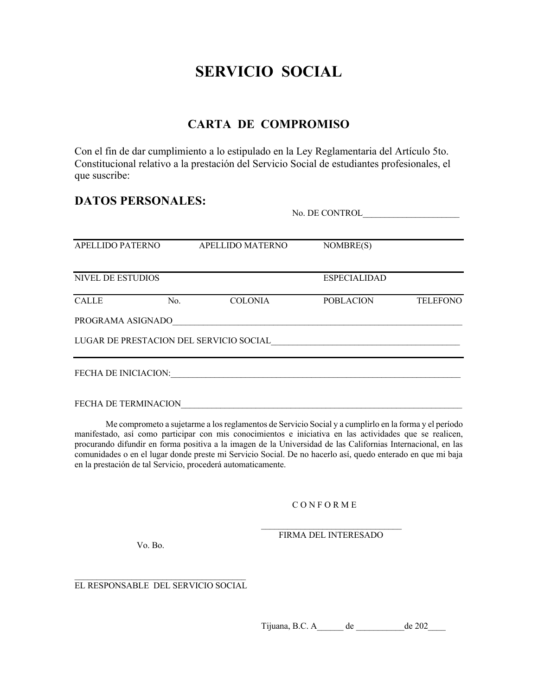## **SERVICIO SOCIAL**

### **CARTA DE COMPROMISO**

Con el fin de dar cumplimiento a lo estipulado en la Ley Reglamentaria del Artículo 5to. Constitucional relativo a la prestación del Servicio Social de estudiantes profesionales, el que suscribe:

#### **DATOS PERSONALES:**

No. DE CONTROL

| APELLIDO PATERNO                        |     | APELLIDO MATERNO | NOMBRE(S)           |                 |
|-----------------------------------------|-----|------------------|---------------------|-----------------|
| <b>NIVEL DE ESTUDIOS</b>                |     |                  | <b>ESPECIALIDAD</b> |                 |
| <b>CALLE</b>                            | No. | <b>COLONIA</b>   | <b>POBLACION</b>    | <b>TELEFONO</b> |
| PROGRAMA ASIGNADO                       |     |                  |                     |                 |
| LUGAR DE PRESTACION DEL SERVICIO SOCIAL |     |                  |                     |                 |
| <b>FECHA DE INICIACION:</b>             |     |                  |                     |                 |

FECHA DE TERMINACION

Me comprometo a sujetarme a los reglamentos de Servicio Social y a cumplirlo en la forma y el período manifestado, así como participar con mis conocimientos e iniciativa en las actividades que se realicen, procurando difundir en forma positiva a la imagen de la Universidad de las Californias Internacional, en las comunidades o en el lugar donde preste mi Servicio Social. De no hacerlo así, quedo enterado en que mi baja en la prestación de tal Servicio, procederá automaticamente.

CONFORME

FIRMA DEL INTERESADO

Vo. Bo.

EL RESPONSABLE DEL SERVICIO SOCIAL

Tijuana, B.C. A de de 202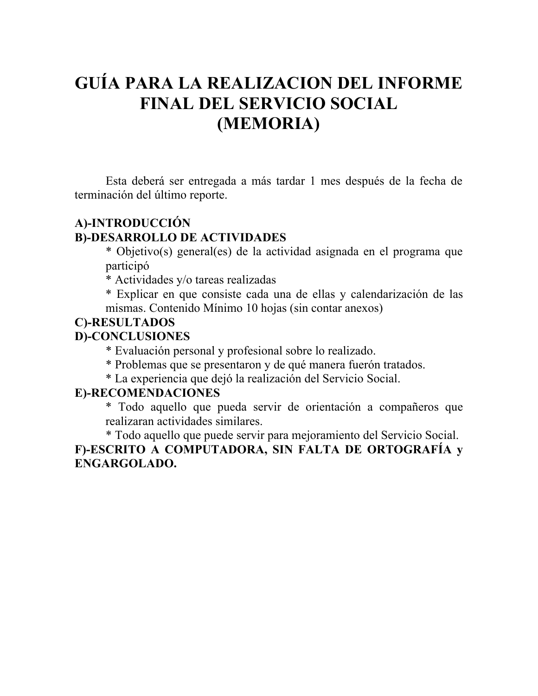# GUÍA PARA LA REALIZACION DEL INFORME **FINAL DEL SERVICIO SOCIAL** (MEMORIA)

Esta deberá ser entregada a más tardar 1 mes después de la fecha de terminación del último reporte.

### A)-INTRODUCCIÓN

#### **B)-DESARROLLO DE ACTIVIDADES**

\* Objetivo(s) general(es) de la actividad asignada en el programa que participó

\* Actividades y/o tareas realizadas

\* Explicar en que consiste cada una de ellas y calendarización de las mismas. Contenido Mínimo 10 hojas (sin contar anexos)

### **C)-RESULTADOS**

#### **D)-CONCLUSIONES**

\* Evaluación personal y profesional sobre lo realizado.

- \* Problemas que se presentaron y de qué manera fuerón tratados.
- \* La experiencia que dejó la realización del Servicio Social.

### E)-RECOMENDACIONES

\* Todo aquello que pueda servir de orientación a compañeros que realizaran actividades similares.

\* Todo aquello que puede servir para mejoramiento del Servicio Social. F)-ESCRITO A COMPUTADORA, SIN FALTA DE ORTOGRAFÍA y ENGARGOLADO.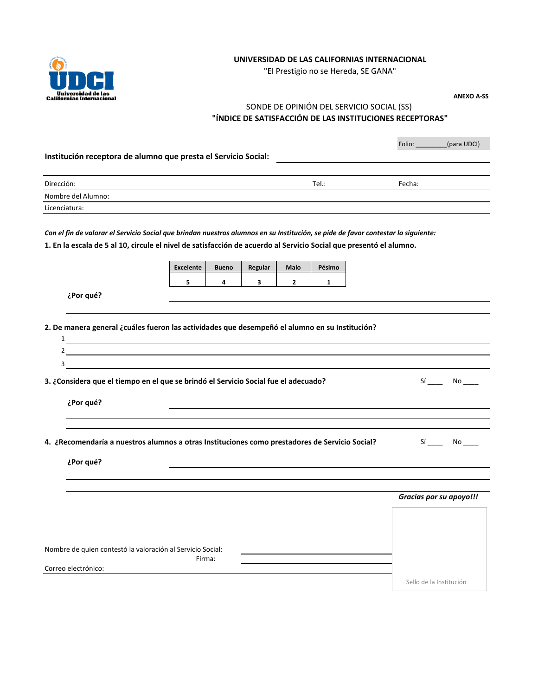

#### **UNIVERSIDAD DE LAS CALIFORNIAS INTERNACIONAL**

"El Prestigio no se Hereda, SE GANA"

**ANEXO A-SS**

#### SONDE DE OPINIÓN DEL SERVICIO SOCIAL (SS) **"ÍNDICE DE SATISFACCIÓN DE LAS INSTITUCIONES RECEPTORAS"**

|                                                                                                                                   |                  |              |         |                |              | Folio: (para UDCI)      |
|-----------------------------------------------------------------------------------------------------------------------------------|------------------|--------------|---------|----------------|--------------|-------------------------|
| Institución receptora de alumno que presta el Servicio Social:                                                                    |                  |              |         |                |              |                         |
|                                                                                                                                   |                  |              |         |                |              |                         |
| Dirección:                                                                                                                        |                  |              |         |                | Tel.:        | Fecha:                  |
| Nombre del Alumno:                                                                                                                |                  |              |         |                |              |                         |
| Licenciatura:                                                                                                                     |                  |              |         |                |              |                         |
|                                                                                                                                   |                  |              |         |                |              |                         |
| Con el fin de valorar el Servicio Social que brindan nuestros alumnos en su Institución, se pide de favor contestar lo siguiente: |                  |              |         |                |              |                         |
| 1. En la escala de 5 al 10, circule el nivel de satisfacción de acuerdo al Servicio Social que presentó el alumno.                |                  |              |         |                |              |                         |
|                                                                                                                                   |                  |              |         |                |              |                         |
|                                                                                                                                   | <b>Excelente</b> | <b>Bueno</b> | Regular | Malo           | Pésimo       |                         |
|                                                                                                                                   | 5                | 4            | 3       | $\overline{2}$ | $\mathbf{1}$ |                         |
| ¿Por qué?                                                                                                                         |                  |              |         |                |              |                         |
|                                                                                                                                   |                  |              |         |                |              |                         |
|                                                                                                                                   |                  |              |         |                |              |                         |
| 2. De manera general ¿cuáles fueron las actividades que desempeñó el alumno en su Institución?                                    |                  |              |         |                |              |                         |
|                                                                                                                                   |                  |              |         |                |              |                         |
| $2 \frac{1}{2}$                                                                                                                   |                  |              |         |                |              |                         |
| 3                                                                                                                                 |                  |              |         |                |              |                         |
| 3. ¿Considera que el tiempo en el que se brindó el Servicio Social fue el adecuado?                                               |                  |              |         |                |              | Sí No                   |
|                                                                                                                                   |                  |              |         |                |              |                         |
| ¿Por qué?                                                                                                                         |                  |              |         |                |              |                         |
|                                                                                                                                   |                  |              |         |                |              |                         |
|                                                                                                                                   |                  |              |         |                |              |                         |
|                                                                                                                                   |                  |              |         |                |              |                         |
| 4. ¿Recomendaría a nuestros alumnos a otras Instituciones como prestadores de Servicio Social?                                    |                  |              |         |                |              | Sí No                   |
| ¿Por qué?                                                                                                                         |                  |              |         |                |              |                         |
|                                                                                                                                   |                  |              |         |                |              |                         |
|                                                                                                                                   |                  |              |         |                |              |                         |
|                                                                                                                                   |                  |              |         |                |              | Gracias por su apoyo!!! |
|                                                                                                                                   |                  |              |         |                |              |                         |
|                                                                                                                                   |                  |              |         |                |              |                         |
|                                                                                                                                   |                  |              |         |                |              |                         |
|                                                                                                                                   |                  |              |         |                |              |                         |
| Nombre de quien contestó la valoración al Servicio Social:                                                                        | Firma:           |              |         |                |              |                         |
| Correo electrónico:                                                                                                               |                  |              |         |                |              |                         |
|                                                                                                                                   |                  |              |         |                |              | Sello de la Institución |
|                                                                                                                                   |                  |              |         |                |              |                         |